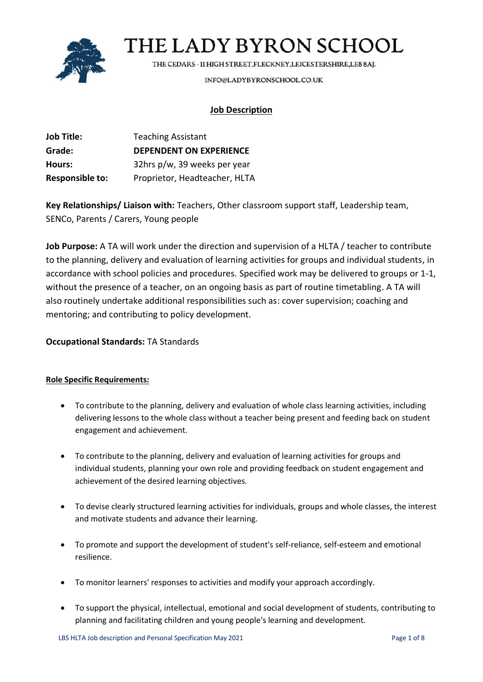

THE CEDARS - 11 HIGH STREET, FLECKNEY, LEICESTERSHIRE, LE8 8AJ.

INFO@LADYBYRONSCHOOL.CO.UK

### **Job Description**

| Job Title:             | <b>Teaching Assistant</b>      |
|------------------------|--------------------------------|
| Grade:                 | <b>DEPENDENT ON EXPERIENCE</b> |
| Hours:                 | 32hrs p/w, 39 weeks per year   |
| <b>Responsible to:</b> | Proprietor, Headteacher, HLTA  |

**Key Relationships/ Liaison with:** Teachers, Other classroom support staff, Leadership team, SENCo, Parents / Carers, Young people

**Job Purpose:** A TA will work under the direction and supervision of a HLTA / teacher to contribute to the planning, delivery and evaluation of learning activities for groups and individual students, in accordance with school policies and procedures. Specified work may be delivered to groups or 1-1, without the presence of a teacher, on an ongoing basis as part of routine timetabling. A TA will also routinely undertake additional responsibilities such as: cover supervision; coaching and mentoring; and contributing to policy development.

### **Occupational Standards:** TA Standards

### **Role Specific Requirements:**

- To contribute to the planning, delivery and evaluation of whole class learning activities, including delivering lessons to the whole class without a teacher being present and feeding back on student engagement and achievement.
- To contribute to the planning, delivery and evaluation of learning activities for groups and individual students, planning your own role and providing feedback on student engagement and achievement of the desired learning objectives.
- To devise clearly structured learning activities for individuals, groups and whole classes, the interest and motivate students and advance their learning.
- To promote and support the development of student's self-reliance, self-esteem and emotional resilience.
- To monitor learners' responses to activities and modify your approach accordingly.
- To support the physical, intellectual, emotional and social development of students, contributing to planning and facilitating children and young people's learning and development.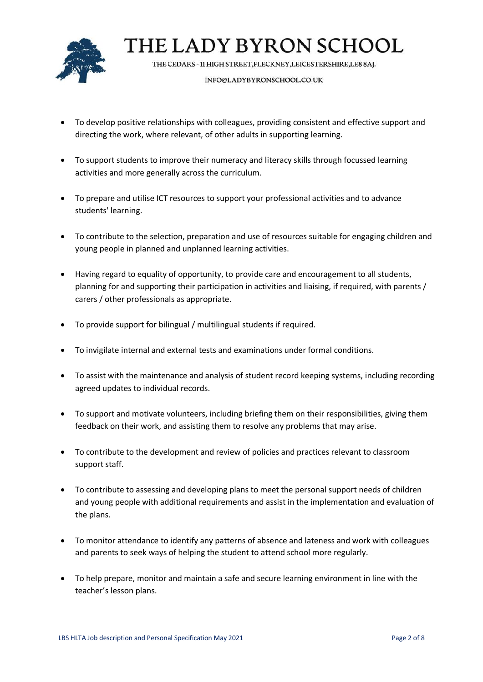

THE CEDARS - 11 HIGH STREET, FLECKNEY, LEICESTERSHIRE, LE8 8AJ.

#### INFO@LADYBYRONSCHOOL.CO.UK

- To develop positive relationships with colleagues, providing consistent and effective support and directing the work, where relevant, of other adults in supporting learning.
- To support students to improve their numeracy and literacy skills through focussed learning activities and more generally across the curriculum.
- To prepare and utilise ICT resources to support your professional activities and to advance students' learning.
- To contribute to the selection, preparation and use of resources suitable for engaging children and young people in planned and unplanned learning activities.
- Having regard to equality of opportunity, to provide care and encouragement to all students, planning for and supporting their participation in activities and liaising, if required, with parents / carers / other professionals as appropriate.
- To provide support for bilingual / multilingual students if required.
- To invigilate internal and external tests and examinations under formal conditions.
- To assist with the maintenance and analysis of student record keeping systems, including recording agreed updates to individual records.
- To support and motivate volunteers, including briefing them on their responsibilities, giving them feedback on their work, and assisting them to resolve any problems that may arise.
- To contribute to the development and review of policies and practices relevant to classroom support staff.
- To contribute to assessing and developing plans to meet the personal support needs of children and young people with additional requirements and assist in the implementation and evaluation of the plans.
- To monitor attendance to identify any patterns of absence and lateness and work with colleagues and parents to seek ways of helping the student to attend school more regularly.
- To help prepare, monitor and maintain a safe and secure learning environment in line with the teacher's lesson plans.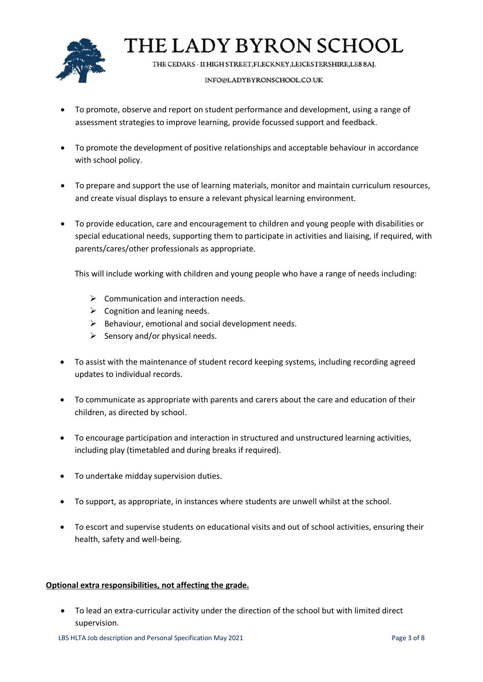

THE CEDARS - 11 HIGH STREET, FLECKNEY, LEICESTERSHIRE, LE8 8AJ.

#### INFO@LADYBYRONSCHOOL.CO.UK

- To promote, observe and report on student performance and development, using a range of assessment strategies to improve learning, provide focussed support and feedback.
- To promote the development of positive relationships and acceptable behaviour in accordance with school policy.
- To prepare and support the use of learning materials, monitor and maintain curriculum resources, and create visual displays to ensure a relevant physical learning environment.
- To provide education, care and encouragement to children and young people with disabilities or special educational needs, supporting them to participate in activities and liaising, if required, with parents/cares/other professionals as appropriate.

This will include working with children and young people who have a range of needs including:

- $\triangleright$  Communication and interaction needs.
- $\triangleright$  Cognition and leaning needs.
- $\triangleright$  Behaviour, emotional and social development needs.
- $\triangleright$  Sensory and/or physical needs.
- To assist with the maintenance of student record keeping systems, including recording agreed updates to individual records.
- To communicate as appropriate with parents and carers about the care and education of their children, as directed by school.
- To encourage participation and interaction in structured and unstructured learning activities, including play (timetabled and during breaks if required).
- To undertake midday supervision duties.
- To support, as appropriate, in instances where students are unwell whilst at the school.
- To escort and supervise students on educational visits and out of school activities, ensuring their health, safety and well-being.

#### **Optional extra responsibilities, not affecting the grade.**

• To lead an extra-curricular activity under the direction of the school but with limited direct supervision.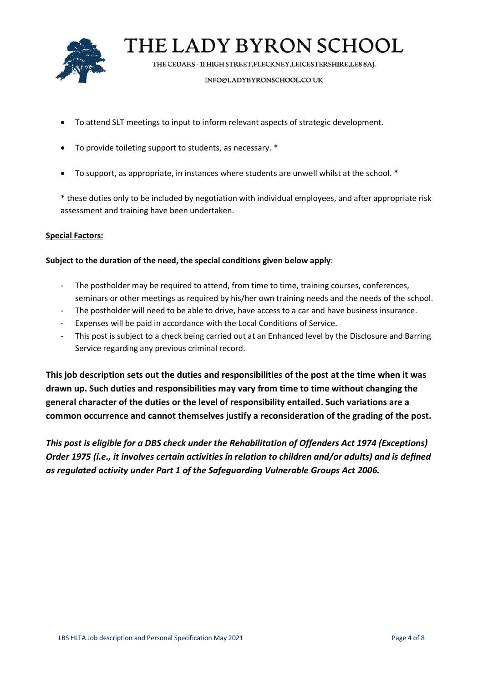

THE CEDARS - 11 HIGH STREET, FLECKNEY, LEICESTERSHIRE, LE8 8AJ.

#### INFO@LADYBYRONSCHOOL.CO.UK

- To attend SLT meetings to input to inform relevant aspects of strategic development.
- To provide toileting support to students, as necessary. \*
- To support, as appropriate, in instances where students are unwell whilst at the school. \*

\* these duties only to be included by negotiation with individual employees, and after appropriate risk assessment and training have been undertaken.

### **Special Factors:**

### **Subject to the duration of the need, the special conditions given below apply**:

- The postholder may be required to attend, from time to time, training courses, conferences, seminars or other meetings as required by his/her own training needs and the needs of the school.
- The postholder will need to be able to drive, have access to a car and have business insurance.
- Expenses will be paid in accordance with the Local Conditions of Service.
- This post is subject to a check being carried out at an Enhanced level by the Disclosure and Barring Service regarding any previous criminal record.

**This job description sets out the duties and responsibilities of the post at the time when it was drawn up. Such duties and responsibilities may vary from time to time without changing the general character of the duties or the level of responsibility entailed. Such variations are a common occurrence and cannot themselves justify a reconsideration of the grading of the post.**

*This post is eligible for a DBS check under the Rehabilitation of Offenders Act 1974 (Exceptions) Order 1975 (i.e., it involves certain activities in relation to children and/or adults) and is defined as regulated activity under Part 1 of the Safeguarding Vulnerable Groups Act 2006.*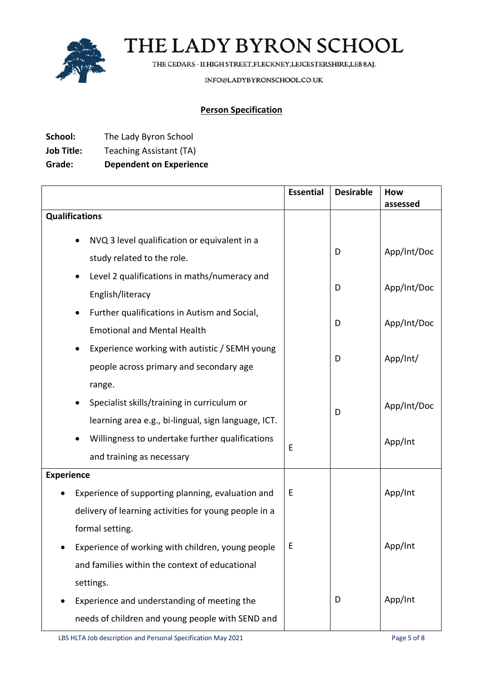

THE CEDARS - 11 HIGH STREET, FLECKNEY, LEICESTERSHIRE, LE8 8AJ.

INFO@LADYBYRONSCHOOL.CO.UK

## **Person Specification**

- **School:** The Lady Byron School
- **Job Title:** Teaching Assistant (TA)

## **Grade: Dependent on Experience**

|                                                           | <b>Essential</b> | <b>Desirable</b> | How         |
|-----------------------------------------------------------|------------------|------------------|-------------|
|                                                           |                  |                  | assessed    |
| <b>Qualifications</b>                                     |                  |                  |             |
| NVQ 3 level qualification or equivalent in a              |                  |                  |             |
| study related to the role.                                |                  | D                | App/Int/Doc |
| Level 2 qualifications in maths/numeracy and<br>$\bullet$ |                  |                  |             |
| English/literacy                                          |                  | D                | App/Int/Doc |
| Further qualifications in Autism and Social,              |                  |                  |             |
| <b>Emotional and Mental Health</b>                        |                  | D                | App/Int/Doc |
| Experience working with autistic / SEMH young             |                  | D                | App/Int/    |
| people across primary and secondary age                   |                  |                  |             |
| range.                                                    |                  |                  |             |
| Specialist skills/training in curriculum or<br>$\bullet$  |                  | D                | App/Int/Doc |
| learning area e.g., bi-lingual, sign language, ICT.       |                  |                  |             |
| Willingness to undertake further qualifications           | E                |                  | App/Int     |
| and training as necessary                                 |                  |                  |             |
| <b>Experience</b>                                         |                  |                  |             |
| Experience of supporting planning, evaluation and         | E                |                  | App/Int     |
| delivery of learning activities for young people in a     |                  |                  |             |
| formal setting.                                           |                  |                  |             |
| Experience of working with children, young people         | E                |                  | App/Int     |
| and families within the context of educational            |                  |                  |             |
| settings.                                                 |                  |                  |             |
| Experience and understanding of meeting the               |                  | D                | App/Int     |
| needs of children and young people with SEND and          |                  |                  |             |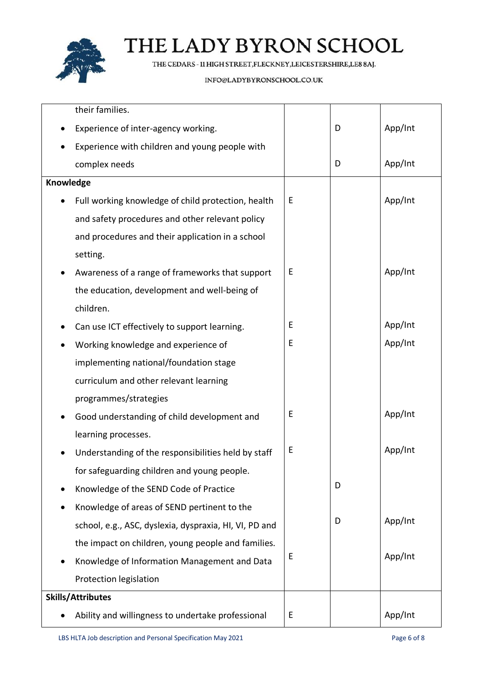

THE CEDARS - 11 HIGH STREET, FLECKNEY, LEICESTERSHIRE, LE8 8AJ.

#### INFO@LADYBYRONSCHOOL.CO.UK

|                          | their families.                                        |   |   |         |
|--------------------------|--------------------------------------------------------|---|---|---------|
|                          | Experience of inter-agency working.                    |   | D | App/Int |
|                          | Experience with children and young people with         |   |   |         |
|                          | complex needs                                          |   | D | App/Int |
| Knowledge                |                                                        |   |   |         |
|                          | Full working knowledge of child protection, health     | E |   | App/Int |
|                          | and safety procedures and other relevant policy        |   |   |         |
|                          | and procedures and their application in a school       |   |   |         |
|                          | setting.                                               |   |   |         |
|                          | Awareness of a range of frameworks that support        | E |   | App/Int |
|                          | the education, development and well-being of           |   |   |         |
|                          | children.                                              |   |   |         |
|                          | Can use ICT effectively to support learning.           | E |   | App/Int |
|                          | Working knowledge and experience of                    | Е |   | App/Int |
|                          | implementing national/foundation stage                 |   |   |         |
|                          | curriculum and other relevant learning                 |   |   |         |
|                          | programmes/strategies                                  |   |   |         |
|                          | Good understanding of child development and            | Е |   | App/Int |
|                          | learning processes.                                    |   |   |         |
|                          | Understanding of the responsibilities held by staff    | Е |   | App/Int |
|                          | for safeguarding children and young people.            |   |   |         |
|                          | Knowledge of the SEND Code of Practice                 |   | D |         |
|                          | Knowledge of areas of SEND pertinent to the            |   |   |         |
|                          | school, e.g., ASC, dyslexia, dyspraxia, HI, VI, PD and |   | D | App/Int |
|                          | the impact on children, young people and families.     |   |   |         |
|                          | Knowledge of Information Management and Data           | Е |   | App/Int |
|                          | Protection legislation                                 |   |   |         |
| <b>Skills/Attributes</b> |                                                        |   |   |         |
|                          | Ability and willingness to undertake professional      | E |   | App/Int |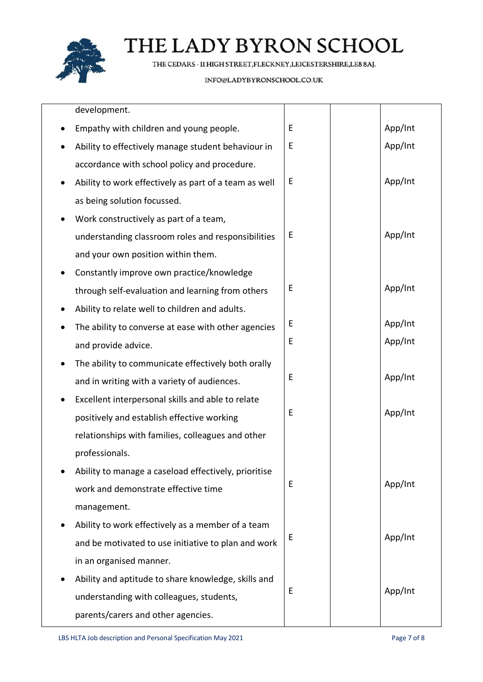

THE CEDARS - 11 HIGH STREET, FLECKNEY, LEICESTERSHIRE, LE8 8AJ.

#### INFO@LADYBYRONSCHOOL.CO.UK

| development.                                          |   |         |
|-------------------------------------------------------|---|---------|
| Empathy with children and young people.               | E | App/Int |
| Ability to effectively manage student behaviour in    | Е | App/Int |
| accordance with school policy and procedure.          |   |         |
| Ability to work effectively as part of a team as well | E | App/Int |
| as being solution focussed.                           |   |         |
| Work constructively as part of a team,                |   |         |
| understanding classroom roles and responsibilities    | E | App/Int |
| and your own position within them.                    |   |         |
| Constantly improve own practice/knowledge             |   |         |
| through self-evaluation and learning from others      | Е | App/Int |
| Ability to relate well to children and adults.        |   |         |
| The ability to converse at ease with other agencies   | Е | App/Int |
| and provide advice.                                   | E | App/Int |
| The ability to communicate effectively both orally    |   |         |
| and in writing with a variety of audiences.           | E | App/Int |
| Excellent interpersonal skills and able to relate     |   |         |
| positively and establish effective working            | Е | App/Int |
| relationships with families, colleagues and other     |   |         |
| professionals.                                        |   |         |
| Ability to manage a caseload effectively, prioritise  |   |         |
| work and demonstrate effective time                   | E | App/Int |
| management.                                           |   |         |
| Ability to work effectively as a member of a team     |   |         |
| and be motivated to use initiative to plan and work   | Е | App/Int |
| in an organised manner.                               |   |         |
| Ability and aptitude to share knowledge, skills and   |   |         |
| understanding with colleagues, students,              | E | App/Int |
| parents/carers and other agencies.                    |   |         |